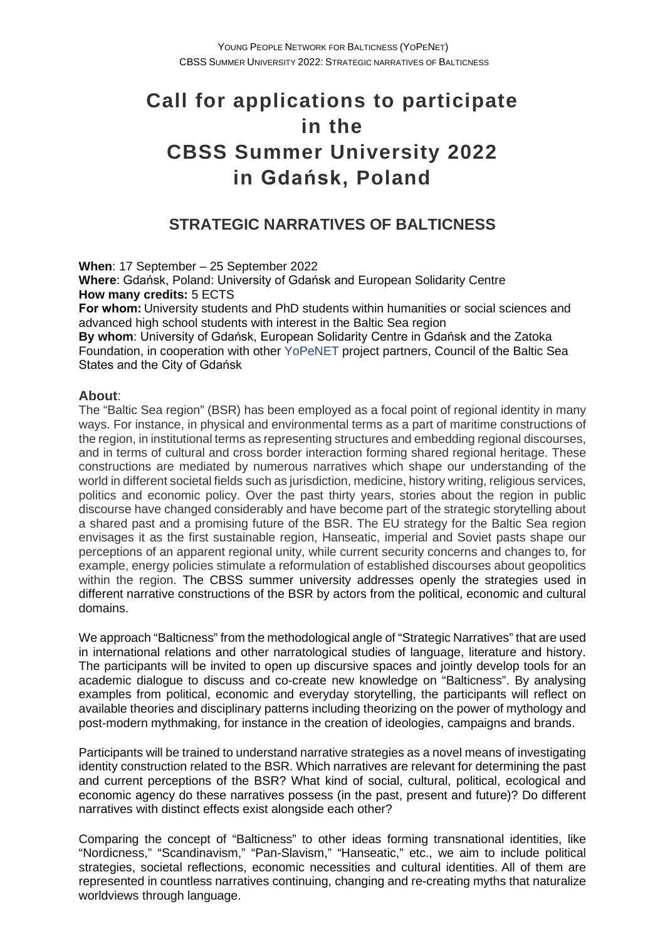# **Call for applications to participate in the CBSS Summer University 2022 in Gdańsk, Poland**

# **STRATEGIC NARRATIVES OF BALTICNESS**

**When**: 17 September – 25 September 2022

**Where**: Gdańsk, Poland: University of Gdańsk and European Solidarity Centre **How many credits:** 5 ECTS

**For whom:**University students and PhD students within humanities or social sciences and advanced high school students with interest in the Baltic Sea region

**By whom**: University of Gdańsk, European Solidarity Centre in Gdańsk and the Zatoka Foundation, in cooperation with other [YoPeNET](https://yopenet.ug.edu.pl/) project partners, Council of the Baltic Sea States and the City of Gdańsk

### **About**:

The "Baltic Sea region" (BSR) has been employed as a focal point of regional identity in many ways. For instance, in physical and environmental terms as a part of maritime constructions of the region, in institutional terms as representing structures and embedding regional discourses, and in terms of cultural and cross border interaction forming shared regional heritage. These constructions are mediated by numerous narratives which shape our understanding of the world in different societal fields such as jurisdiction, medicine, history writing, religious services, politics and economic policy. Over the past thirty years, stories about the region in public discourse have changed considerably and have become part of the strategic storytelling about a shared past and a promising future of the BSR. The EU strategy for the Baltic Sea region envisages it as the first sustainable region, Hanseatic, imperial and Soviet pasts shape our perceptions of an apparent regional unity, while current security concerns and changes to, for example, energy policies stimulate a reformulation of established discourses about geopolitics within the region. The CBSS summer university addresses openly the strategies used in different narrative constructions of the BSR by actors from the political, economic and cultural domains.

We approach "Balticness" from the methodological angle of "Strategic Narratives" that are used in international relations and other narratological studies of language, literature and history. The participants will be invited to open up discursive spaces and jointly develop tools for an academic dialogue to discuss and co-create new knowledge on "Balticness". By analysing examples from political, economic and everyday storytelling, the participants will reflect on available theories and disciplinary patterns including theorizing on the power of mythology and post-modern mythmaking, for instance in the creation of ideologies, campaigns and brands.

Participants will be trained to understand narrative strategies as a novel means of investigating identity construction related to the BSR. Which narratives are relevant for determining the past and current perceptions of the BSR? What kind of social, cultural, political, ecological and economic agency do these narratives possess (in the past, present and future)? Do different narratives with distinct effects exist alongside each other?

Comparing the concept of "Balticness" to other ideas forming transnational identities, like "Nordicness," "Scandinavism," "Pan-Slavism," "Hanseatic," etc., we aim to include political strategies, societal reflections, economic necessities and cultural identities. All of them are represented in countless narratives continuing, changing and re-creating myths that naturalize worldviews through language.